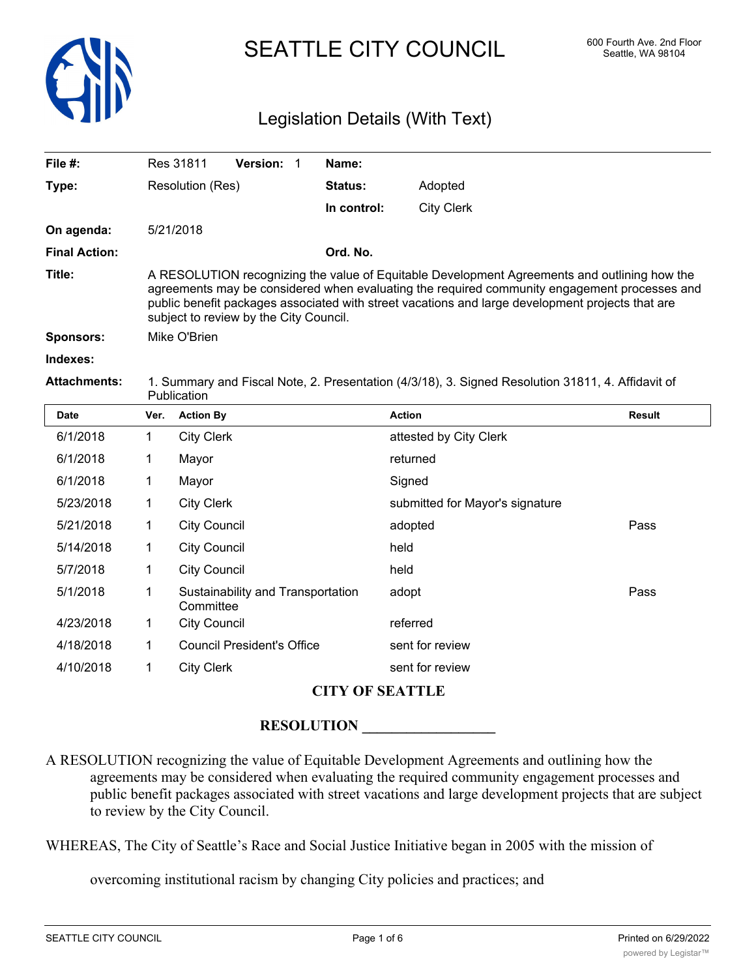

# SEATTLE CITY COUNCIL 600 Fourth Ave. 2nd Floor

### Legislation Details (With Text)

| File $#$ :           | <b>Version:</b><br>Res 31811                                                                                                                                                                                                                                                                                                               | Name:          |                   |  |  |
|----------------------|--------------------------------------------------------------------------------------------------------------------------------------------------------------------------------------------------------------------------------------------------------------------------------------------------------------------------------------------|----------------|-------------------|--|--|
| Type:                | Resolution (Res)                                                                                                                                                                                                                                                                                                                           | <b>Status:</b> | Adopted           |  |  |
|                      |                                                                                                                                                                                                                                                                                                                                            | In control:    | <b>City Clerk</b> |  |  |
| On agenda:           | 5/21/2018                                                                                                                                                                                                                                                                                                                                  |                |                   |  |  |
| <b>Final Action:</b> |                                                                                                                                                                                                                                                                                                                                            | Ord. No.       |                   |  |  |
| Title:               | A RESOLUTION recognizing the value of Equitable Development Agreements and outlining how the<br>agreements may be considered when evaluating the required community engagement processes and<br>public benefit packages associated with street vacations and large development projects that are<br>subject to review by the City Council. |                |                   |  |  |
| <b>Sponsors:</b>     | Mike O'Brien                                                                                                                                                                                                                                                                                                                               |                |                   |  |  |
| Indexes:             |                                                                                                                                                                                                                                                                                                                                            |                |                   |  |  |

**Attachments:** 1. Summary and Fiscal Note, 2. Presentation (4/3/18), 3. Signed Resolution 31811, 4. Affidavit of **Publication** 

| <b>Date</b> | Ver. | <b>Action By</b>                               | <b>Action</b>                   | Result |
|-------------|------|------------------------------------------------|---------------------------------|--------|
| 6/1/2018    | 1    | <b>City Clerk</b>                              | attested by City Clerk          |        |
| 6/1/2018    | 1    | Mayor                                          | returned                        |        |
| 6/1/2018    | 1    | Mayor                                          | Signed                          |        |
| 5/23/2018   | 1    | <b>City Clerk</b>                              | submitted for Mayor's signature |        |
| 5/21/2018   | 1    | <b>City Council</b>                            | adopted                         | Pass   |
| 5/14/2018   | 1    | <b>City Council</b>                            | held                            |        |
| 5/7/2018    | 1    | <b>City Council</b>                            | held                            |        |
| 5/1/2018    | 1    | Sustainability and Transportation<br>Committee | adopt                           | Pass   |
| 4/23/2018   | 1    | <b>City Council</b>                            | referred                        |        |
| 4/18/2018   | 1    | <b>Council President's Office</b>              | sent for review                 |        |
| 4/10/2018   | 1    | <b>City Clerk</b>                              | sent for review                 |        |

### **CITY OF SEATTLE**

#### **RESOLUTION \_\_\_\_\_\_\_\_\_\_\_\_\_\_\_\_\_\_**

A RESOLUTION recognizing the value of Equitable Development Agreements and outlining how the agreements may be considered when evaluating the required community engagement processes and public benefit packages associated with street vacations and large development projects that are subject to review by the City Council.

WHEREAS, The City of Seattle's Race and Social Justice Initiative began in 2005 with the mission of

overcoming institutional racism by changing City policies and practices; and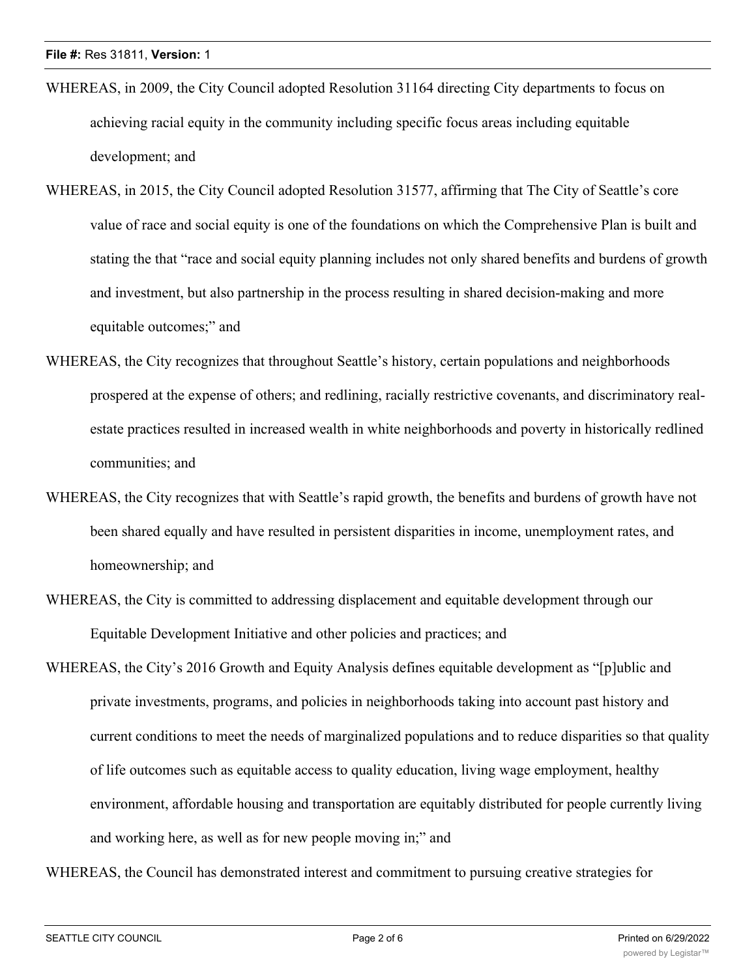- WHEREAS, in 2009, the City Council adopted Resolution 31164 directing City departments to focus on achieving racial equity in the community including specific focus areas including equitable development; and
- WHEREAS, in 2015, the City Council adopted Resolution 31577, affirming that The City of Seattle's core value of race and social equity is one of the foundations on which the Comprehensive Plan is built and stating the that "race and social equity planning includes not only shared benefits and burdens of growth and investment, but also partnership in the process resulting in shared decision-making and more equitable outcomes;" and
- WHEREAS, the City recognizes that throughout Seattle's history, certain populations and neighborhoods prospered at the expense of others; and redlining, racially restrictive covenants, and discriminatory realestate practices resulted in increased wealth in white neighborhoods and poverty in historically redlined communities; and
- WHEREAS, the City recognizes that with Seattle's rapid growth, the benefits and burdens of growth have not been shared equally and have resulted in persistent disparities in income, unemployment rates, and homeownership; and
- WHEREAS, the City is committed to addressing displacement and equitable development through our Equitable Development Initiative and other policies and practices; and
- WHEREAS, the City's 2016 Growth and Equity Analysis defines equitable development as "[p]ublic and private investments, programs, and policies in neighborhoods taking into account past history and current conditions to meet the needs of marginalized populations and to reduce disparities so that quality of life outcomes such as equitable access to quality education, living wage employment, healthy environment, affordable housing and transportation are equitably distributed for people currently living and working here, as well as for new people moving in;" and

WHEREAS, the Council has demonstrated interest and commitment to pursuing creative strategies for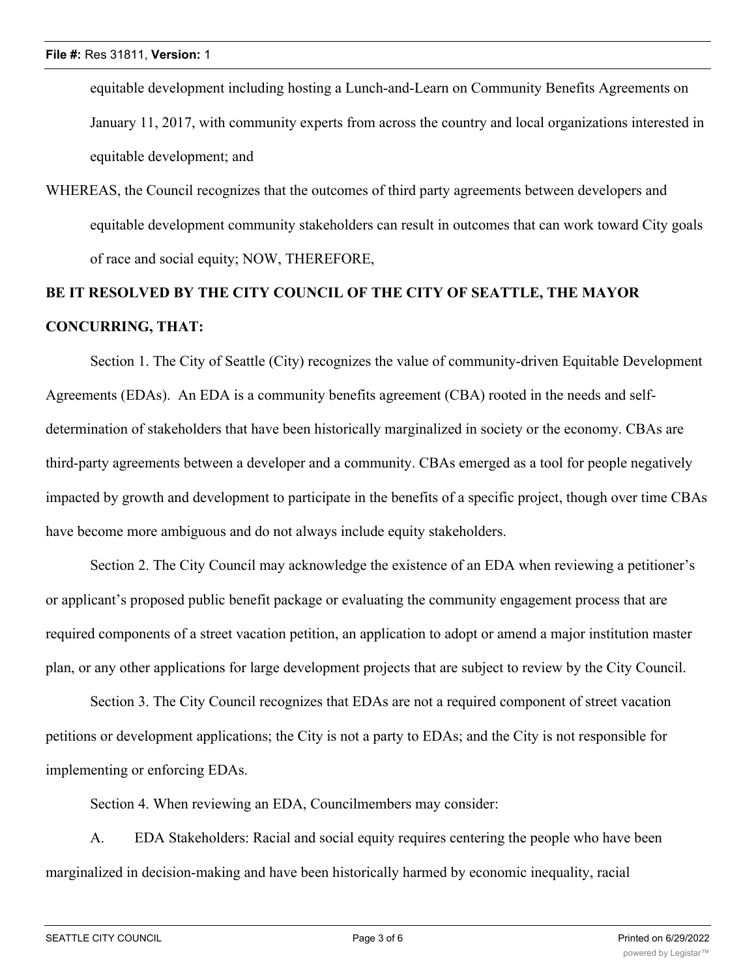equitable development including hosting a Lunch-and-Learn on Community Benefits Agreements on January 11, 2017, with community experts from across the country and local organizations interested in equitable development; and

WHEREAS, the Council recognizes that the outcomes of third party agreements between developers and equitable development community stakeholders can result in outcomes that can work toward City goals of race and social equity; NOW, THEREFORE,

## **BE IT RESOLVED BY THE CITY COUNCIL OF THE CITY OF SEATTLE, THE MAYOR CONCURRING, THAT:**

Section 1. The City of Seattle (City) recognizes the value of community-driven Equitable Development Agreements (EDAs). An EDA is a community benefits agreement (CBA) rooted in the needs and selfdetermination of stakeholders that have been historically marginalized in society or the economy. CBAs are third-party agreements between a developer and a community. CBAs emerged as a tool for people negatively impacted by growth and development to participate in the benefits of a specific project, though over time CBAs have become more ambiguous and do not always include equity stakeholders.

Section 2. The City Council may acknowledge the existence of an EDA when reviewing a petitioner's or applicant's proposed public benefit package or evaluating the community engagement process that are required components of a street vacation petition, an application to adopt or amend a major institution master plan, or any other applications for large development projects that are subject to review by the City Council.

Section 3. The City Council recognizes that EDAs are not a required component of street vacation petitions or development applications; the City is not a party to EDAs; and the City is not responsible for implementing or enforcing EDAs.

Section 4. When reviewing an EDA, Councilmembers may consider:

A. EDA Stakeholders: Racial and social equity requires centering the people who have been marginalized in decision-making and have been historically harmed by economic inequality, racial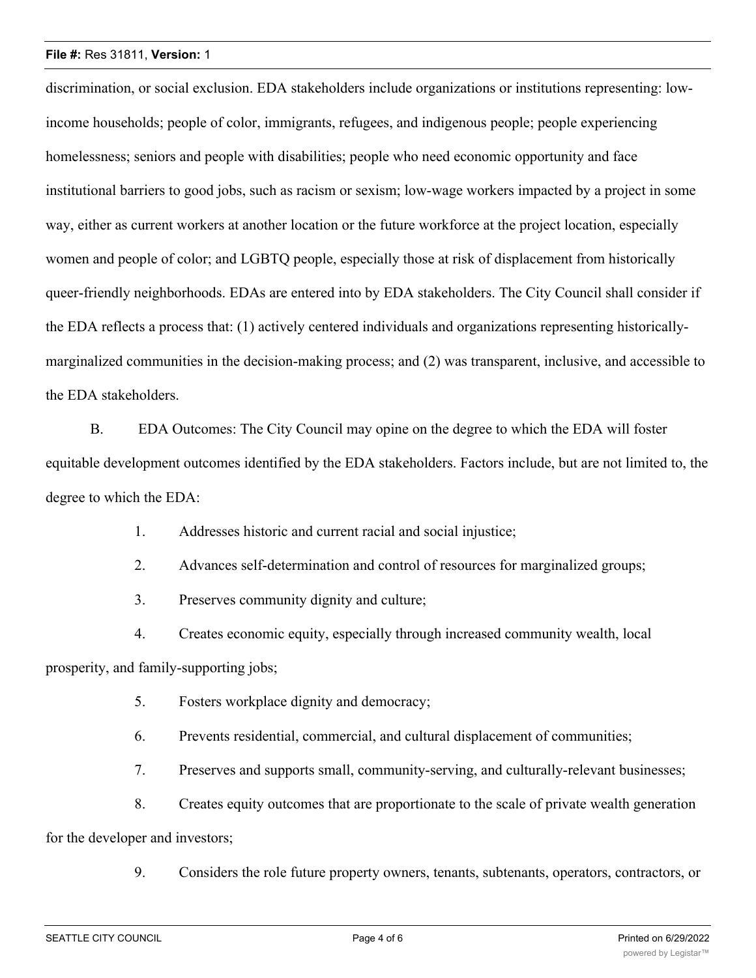#### **File #:** Res 31811, **Version:** 1

discrimination, or social exclusion. EDA stakeholders include organizations or institutions representing: lowincome households; people of color, immigrants, refugees, and indigenous people; people experiencing homelessness; seniors and people with disabilities; people who need economic opportunity and face institutional barriers to good jobs, such as racism or sexism; low-wage workers impacted by a project in some way, either as current workers at another location or the future workforce at the project location, especially women and people of color; and LGBTQ people, especially those at risk of displacement from historically queer-friendly neighborhoods. EDAs are entered into by EDA stakeholders. The City Council shall consider if the EDA reflects a process that: (1) actively centered individuals and organizations representing historicallymarginalized communities in the decision-making process; and (2) was transparent, inclusive, and accessible to the EDA stakeholders.

B. EDA Outcomes: The City Council may opine on the degree to which the EDA will foster equitable development outcomes identified by the EDA stakeholders. Factors include, but are not limited to, the degree to which the EDA:

1. Addresses historic and current racial and social injustice;

2. Advances self-determination and control of resources for marginalized groups;

3. Preserves community dignity and culture;

4. Creates economic equity, especially through increased community wealth, local prosperity, and family-supporting jobs;

5. Fosters workplace dignity and democracy;

6. Prevents residential, commercial, and cultural displacement of communities;

7. Preserves and supports small, community-serving, and culturally-relevant businesses;

8. Creates equity outcomes that are proportionate to the scale of private wealth generation

for the developer and investors;

9. Considers the role future property owners, tenants, subtenants, operators, contractors, or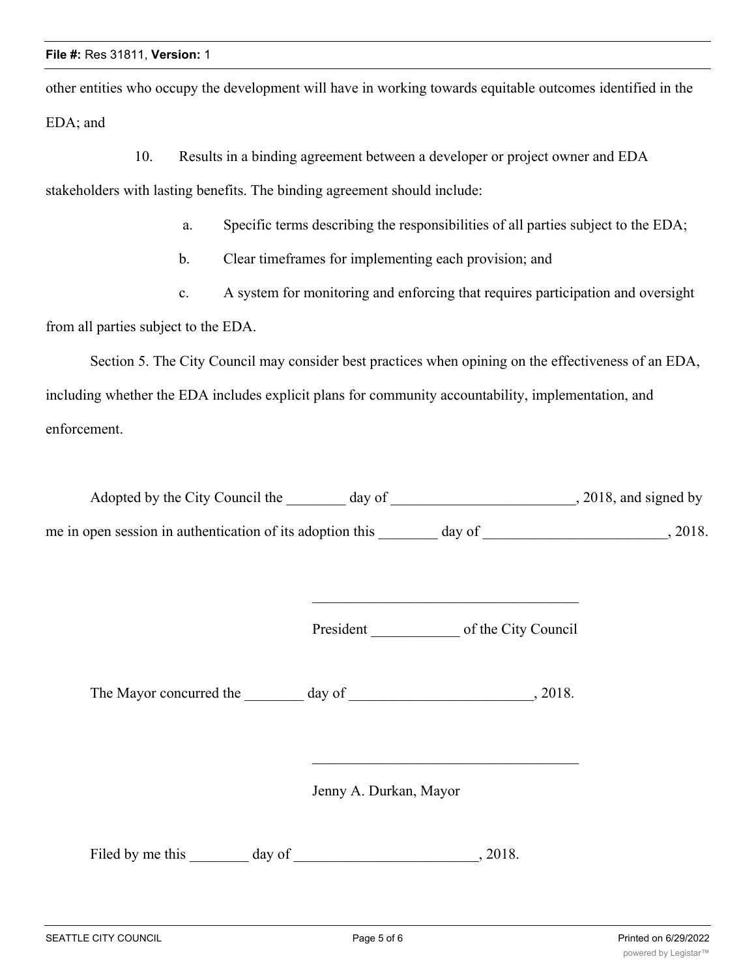other entities who occupy the development will have in working towards equitable outcomes identified in the EDA; and

10. Results in a binding agreement between a developer or project owner and EDA

stakeholders with lasting benefits. The binding agreement should include:

- a. Specific terms describing the responsibilities of all parties subject to the EDA;
- b. Clear timeframes for implementing each provision; and
- c. A system for monitoring and enforcing that requires participation and oversight

from all parties subject to the EDA.

Section 5. The City Council may consider best practices when opining on the effectiveness of an EDA, including whether the EDA includes explicit plans for community accountability, implementation, and enforcement.

| Adopted by the City Council the                           | day of | $, 2018,$ and signed by |
|-----------------------------------------------------------|--------|-------------------------|
| me in open session in authentication of its adoption this | day of | 2018.                   |

President \_\_\_\_\_\_\_\_\_\_\_\_ of the City Council

The Mayor concurred the day of the  $\sim$ , 2018.

Jenny A. Durkan, Mayor

Filed by me this day of  $\qquad \qquad$ , 2018.